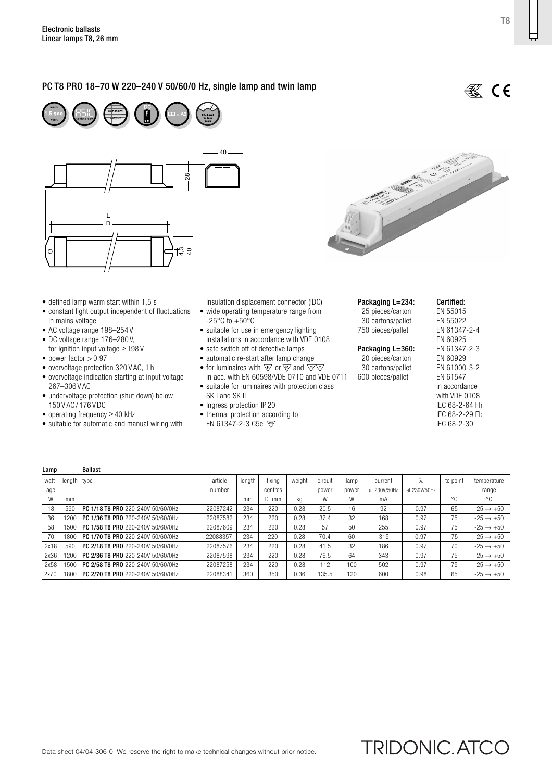## PC T8 PRO 18–70 W 220–240 V 50/60/0 Hz, single lamp and twin lamp



- defined lamp warm start within 1,5 s
- constant light output independent of fluctuations in mains voltage
- AC voltage range 198–254 V
- DC voltage range 176–280 V,
- for ignition input voltage ≥ 198 V • power factor  $> 0.97$
- overvoltage protection 320 V AC, 1 h
- overvoltage indication starting at input voltage 267–306 V AC
- undervoltage protection (shut down) below 150 V AC / 176 V DC
- operating frequency ≥ 40 kHz

Lamp | Ballast

• suitable for automatic and manual wiring with

insulation displacement connector (IDC) • wide operating temperature range from  $-25^{\circ}$ C to  $+50^{\circ}$ C

- suitable for use in emergency lighting installations in accordance with VDE 0108
- safe switch off of defective lamps
- automatic re-start after lamp change
- for luminaires with  $\overline{\nabla}$  or  $\overline{\nabla}$  and  $\overline{\nabla}$
- in acc. with EN 60598/VDE 0710 and VDE 0711 • suitable for luminaires with protection class
- SK I and SK II • Ingress protection IP 20
- thermal protection according to
- EN 61347-2-3 C5e

Packaging L=234: 25 pieces/carton 30 cartons/pallet 750 pieces/pallet

### Packaging L=360:

20 pieces/carton 30 cartons/pallet 600 pieces/pallet

Certified: EN 55015 EN 55022 EN 61347-2-4 EN 60925 EN 61347-2-3 EN 60929 EN 61000-3-2 EN 61547 in accordance with VDE 0108 IEC 68-2-64 Fh IEC 68-2-29 Eb IEC 68-2-30

**TRIDONIC.ATCO** 

| watt- | length type |                                   | article  | lenath | fixina  | weight | circuit | lamp  | current      |              | tc point | temperature           |
|-------|-------------|-----------------------------------|----------|--------|---------|--------|---------|-------|--------------|--------------|----------|-----------------------|
| age   |             |                                   | number   |        | centres |        | power   | power | at 230V/50Hz | at 230V/50Hz |          | range                 |
| W     | mm          |                                   |          | mm     | D mm    | kq     | W       | W     | mA           |              | °C       | °C                    |
| 18    | 590         | PC 1/18 T8 PRO 220-240V 50/60/0Hz | 22087242 | 234    | 220     | 0.28   | 20.5    | 16    | 92           | 0.97         | 65       | $-25 \rightarrow +50$ |
| 36    | 1201        | PC 1/36 T8 PRO 220-240V 50/60/0Hz | 22087582 | 234    | 220     | 0.28   | 37.4    | 32    | 168          | 0.97         | 75       | $-25 \rightarrow +50$ |
| 58    | 150         | PC 1/58 T8 PRO 220-240V 50/60/0Hz | 22087609 | 234    | 220     | 0.28   | 57      | 50    | 255          | 0.97         | 75       | $-25 \rightarrow +50$ |
| 70    | 1800        | PC 1/70 T8 PRO 220-240V 50/60/0Hz | 22088357 | 234    | 220     | 0.28   | 70.4    | 60    | 315          | 0.97         | 75       | $-25 \rightarrow +50$ |
| 2x18  | 590         | PC 2/18 T8 PRO 220-240V 50/60/0Hz | 22087576 | 234    | 220     | 0.28   | 41.5    | 32    | 186          | 0.97         | 70       | $-25 \rightarrow +50$ |
| 2x36  | 1200        | PC 2/36 T8 PRO 220-240V 50/60/0Hz | 22087598 | 234    | 220     | 0.28   | 76.5    | 64    | 343          | 0.97         | 75       | $-25 \rightarrow +50$ |
| 2x58  | 1500        | PC 2/58 T8 PRO 220-240V 50/60/0Hz | 22087258 | 234    | 220     | 0.28   | 112     | 100   | 502          | 0.97         | 75       | $-25 \rightarrow +50$ |
| 2x70  | 1800        | PC 2/70 T8 PRO 220-240V 50/60/0Hz | 22088341 | 360    | 350     | 0.36   | 135.5   | 120   | 600          | 0.98         | 65       | $-25 \rightarrow +50$ |



**缪** CE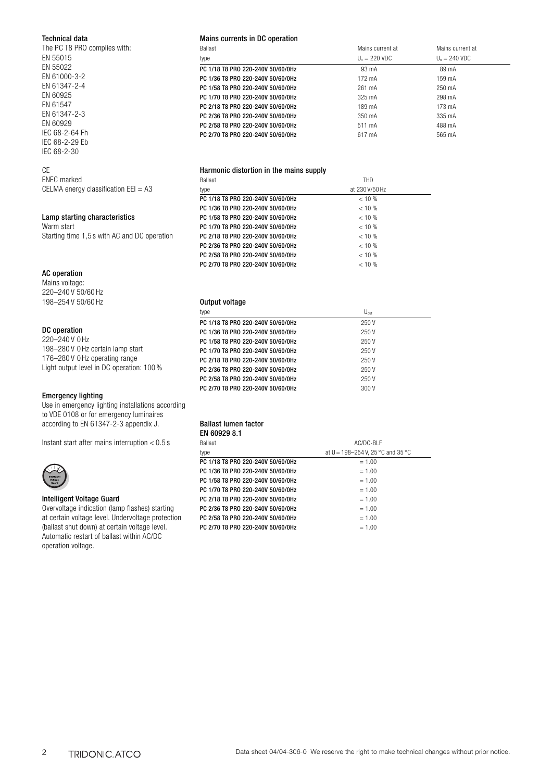### Technical data

| The PC T8 PRO complies with: |
|------------------------------|
| FN 55015                     |
| EN 55022                     |
| FN 61000-3-2                 |
| FN 61347-2-4                 |
| FN 60925                     |
| FN 61547                     |
| FN 61347-2-3                 |
| FN 60929                     |
| IFC 68-2-64 Fh               |
| IFC 68-2-29 Fh               |
| IEC 68-2-30                  |
|                              |

## CE

| <b>ENEC</b> marked                        |  |
|-------------------------------------------|--|
| CELMA energy classification $E E I = A 3$ |  |

### Lamp starting characteristics

Warm start Starting time 1,5 s with AC and DC operation

### AC operation

Mains voltage: 220–240 V 50/60 Hz 198–254 V 50/60 Hz

### DC operation

220–240 V 0 Hz 198–280 V 0 Hz certain lamp start 176–280 V 0 Hz operating range Light output level in DC operation: 100 %

### Emergency lighting

Use in emergency lighting installations according to VDE 0108 or for emergency luminaires according to EN 61347-2-3 appendix J.

Instant start after mains interruption  $< 0.5$  s



### Intelligent Voltage Guard

Overvoltage indication (lamp flashes) starting at certain voltage level. Undervoltage protection (ballast shut down) at certain voltage level. Automatic restart of ballast within AC/DC operation voltage.

### Mains currents in DC operation

| <b>Ballast</b>                    | Mains current at        | Mains current at        |
|-----------------------------------|-------------------------|-------------------------|
| type                              | $U_n = 220 \text{ VDC}$ | $U_n = 240 \text{ VDC}$ |
| PC 1/18 T8 PRO 220-240V 50/60/0Hz | 93 mA                   | 89 mA                   |
| PC 1/36 T8 PRO 220-240V 50/60/0Hz | 172 mA                  | 159 mA                  |
| PC 1/58 T8 PRO 220-240V 50/60/0Hz | 261 mA                  | 250 mA                  |
| PC 1/70 T8 PRO 220-240V 50/60/0Hz | 325 mA                  | 298 mA                  |
| PC 2/18 T8 PRO 220-240V 50/60/0Hz | 189 mA                  | 173 mA                  |
| PC 2/36 T8 PRO 220-240V 50/60/0Hz | 350 mA                  | 335 mA                  |
| PC 2/58 T8 PRO 220-240V 50/60/0Hz | 511 mA                  | 488 mA                  |
| PC 2/70 T8 PRO 220-240V 50/60/0Hz | 617 mA                  | 565 mA                  |

### Harmonic distortion in the mains supply

| <b>Ballast</b>                    | <b>THD</b>     |
|-----------------------------------|----------------|
| type                              | at 230 V/50 Hz |
| PC 1/18 T8 PR0 220-240V 50/60/0Hz | $< 10 \%$      |
| PC 1/36 T8 PRO 220-240V 50/60/0Hz | $< 10 \%$      |
| PC 1/58 T8 PRO 220-240V 50/60/0Hz | $< 10 \%$      |
| PC 1/70 T8 PRO 220-240V 50/60/0Hz | $< 10 \%$      |
| PC 2/18 T8 PRO 220-240V 50/60/0Hz | $< 10 \%$      |
| PC 2/36 T8 PRO 220-240V 50/60/0Hz | $< 10 \%$      |
| PC 2/58 T8 PRO 220-240V 50/60/0Hz | $< 10 \%$      |
| PC 2/70 T8 PRO 220-240V 50/60/0Hz | $< 10\%$       |

## Output voltage

| type                              | $U_{\text{out}}$ |
|-----------------------------------|------------------|
| PC 1/18 T8 PRO 220-240V 50/60/0Hz | 250V             |
| PC 1/36 T8 PRO 220-240V 50/60/0Hz | 250V             |
| PC 1/58 T8 PRO 220-240V 50/60/0Hz | 250V             |
| PC 1/70 T8 PRO 220-240V 50/60/0Hz | 250V             |
| PC 2/18 T8 PRO 220-240V 50/60/0Hz | 250V             |
| PC 2/36 T8 PRO 220-240V 50/60/0Hz | 250V             |
| PC 2/58 T8 PRO 220-240V 50/60/0Hz | 250V             |
| PC 2/70 T8 PRO 220-240V 50/60/0Hz | 300 V            |

#### Ballast lumen factor EN COOPO 8

| EN DUYZY 0. I                     |                                       |
|-----------------------------------|---------------------------------------|
| <b>Ballast</b>                    | AC/DC-BI F                            |
| type                              | at $U = 198 - 254$ V, 25 °C and 35 °C |
| PC 1/18 T8 PR0 220-240V 50/60/0Hz | $= 1.00$                              |
| PC 1/36 T8 PRO 220-240V 50/60/0Hz | $= 1.00$                              |
| PC 1/58 T8 PR0 220-240V 50/60/0Hz | $= 1.00$                              |
| PC 1/70 T8 PRO 220-240V 50/60/0Hz | $= 1.00$                              |
| PC 2/18 T8 PR0 220-240V 50/60/0Hz | $= 1.00$                              |
| PC 2/36 T8 PRO 220-240V 50/60/0Hz | $= 1.00$                              |
| PC 2/58 T8 PR0 220-240V 50/60/0Hz | $= 1.00$                              |
| PC 2/70 T8 PRO 220-240V 50/60/0Hz | $= 1.00$                              |
|                                   |                                       |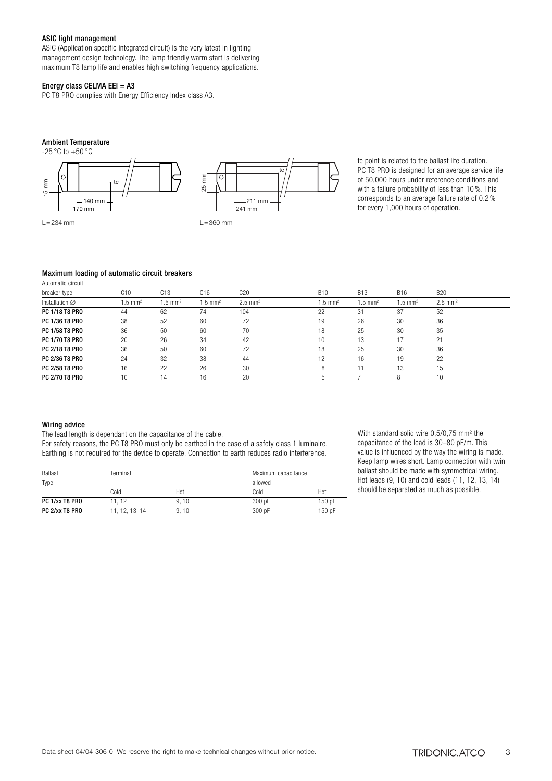### ASIC light management

ASIC (Application specific integrated circuit) is the very latest in lighting management design technology. The lamp friendly warm start is delivering maximum T8 lamp life and enables high switching frequency applications.

### Energy class CELMA EEI =  $A3$

PC T8 PRO complies with Energy Efficiency Index class A3.

### Ambient Temperature



tc point is related to the ballast life duration. PC T8 PRO is designed for an average service life of 50,000 hours under reference conditions and with a failure probability of less than 10 %. This corresponds to an average failure rate of 0.2 % for every 1,000 hours of operation.

### Maximum loading of automatic circuit breakers

| 1.99111910001100011        |                    |                       |                       |                       |                      |                    |                      |                      |  |
|----------------------------|--------------------|-----------------------|-----------------------|-----------------------|----------------------|--------------------|----------------------|----------------------|--|
| breaker type               | C10                | C <sub>13</sub>       | C <sub>16</sub>       | C20                   | <b>B10</b>           | <b>B13</b>         | <b>B16</b>           | <b>B20</b>           |  |
| Installation $\varnothing$ | $1.5 \text{ mm}^2$ | $1.5$ mm <sup>2</sup> | $1.5$ mm <sup>2</sup> | $2.5$ mm <sup>2</sup> | $.5$ mm <sup>2</sup> | $1.5 \text{ mm}^2$ | $1.5 \, \text{mm}^2$ | $2.5 \, \text{mm}^2$ |  |
| PC 1/18 T8 PRO             | 44                 | 62                    | 74                    | 104                   | 22                   | 31                 | 37                   | 52                   |  |
| PC 1/36 T8 PRO             | 38                 | 52                    | 60                    | 72                    | 19                   | 26                 | 30                   | 36                   |  |
| PC 1/58 T8 PRO             | 36                 | 50                    | 60                    | 70                    | 18                   | 25                 | 30                   | 35                   |  |
| PC 1/70 T8 PRO             | 20                 | 26                    | 34                    | 42                    | 10                   | 13                 | 17                   | 21                   |  |
| PC 2/18 T8 PRO             | 36                 | 50                    | 60                    | 72                    | 18                   | 25                 | 30                   | 36                   |  |
| PC 2/36 T8 PRO             | 24                 | 32                    | 38                    | 44                    | 12                   | 16                 | 19                   | 22                   |  |
| PC 2/58 T8 PRO             | 16                 | 22                    | 26                    | 30                    | 8                    |                    | 13                   | 15                   |  |
| PC 2/70 T8 PRO             | 10                 | 14                    | 16                    | 20                    | 5                    |                    | 8                    | 10                   |  |
|                            |                    |                       |                       |                       |                      |                    |                      |                      |  |

### Wiring advice

Automatic circuit

The lead length is dependant on the capacitance of the cable.

For safety reasons, the PC T8 PRO must only be earthed in the case of a safety class 1 luminaire. Earthing is not required for the device to operate. Connection to earth reduces radio interference.

| Ballast<br>Terminal |                | Maximum capacitance |         |        |
|---------------------|----------------|---------------------|---------|--------|
| Type                |                |                     | allowed |        |
|                     | Cold           | Hot                 | Cold    | Hot    |
| PC 1/xx T8 PRO      | 11.12          | 9, 10               | 300 pF  | 150 pF |
| PC 2/xx T8 PRO      | 11, 12, 13, 14 | 9, 10               | 300 pF  | 150 pF |

With standard solid wire 0,5/0,75 mm<sup>2</sup> the capacitance of the lead is 30–80 pF/m. This value is influenced by the way the wiring is made. Keep lamp wires short. Lamp connection with twin ballast should be made with symmetrical wiring. Hot leads (9, 10) and cold leads (11, 12, 13, 14) should be separated as much as possible.